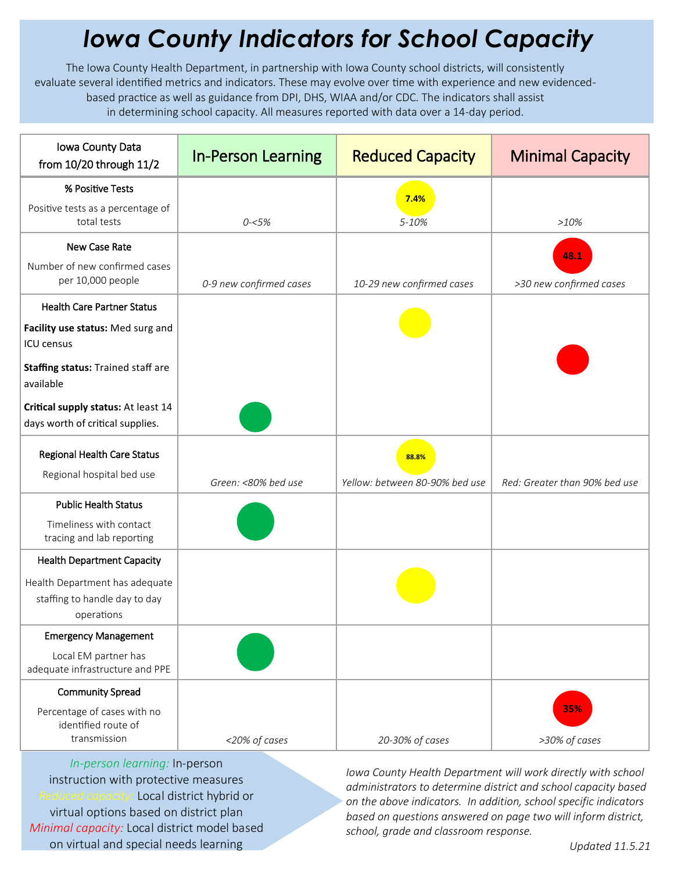## *Iowa County Indicators for School Capacity*

The Iowa County Health Department, in partnership with Iowa County school districts, will consistently evaluate several identified metrics and indicators. These may evolve over time with experience and new evidencedbased practice as well as guidance from DPI, DHS, WIAA and/or CDC. The indicators shall assist in determining school capacity. All measures reported with data over a 14-day period.

| Iowa County Data<br>from 10/20 through 11/2                                   | <b>In-Person Learning</b> | <b>Reduced Capacity</b>        | <b>Minimal Capacity</b>       |
|-------------------------------------------------------------------------------|---------------------------|--------------------------------|-------------------------------|
| % Positive Tests                                                              |                           | 7.4%                           |                               |
| Positive tests as a percentage of<br>total tests                              | $0 - 5%$                  | 5-10%                          | >10%                          |
| New Case Rate                                                                 |                           |                                | 48.1                          |
| Number of new confirmed cases<br>per 10,000 people                            | 0-9 new confirmed cases   | 10-29 new confirmed cases      | >30 new confirmed cases       |
| <b>Health Care Partner Status</b>                                             |                           |                                |                               |
| Facility use status: Med surg and<br><b>ICU</b> census                        |                           |                                |                               |
| Staffing status: Trained staff are<br>available                               |                           |                                |                               |
| Critical supply status: At least 14<br>days worth of critical supplies.       |                           |                                |                               |
| <b>Regional Health Care Status</b>                                            |                           | 88.8%                          |                               |
| Regional hospital bed use                                                     | Green: <80% bed use       | Yellow: between 80-90% bed use | Red: Greater than 90% bed use |
| <b>Public Health Status</b>                                                   |                           |                                |                               |
| Timeliness with contact<br>tracing and lab reporting                          |                           |                                |                               |
| <b>Health Department Capacity</b>                                             |                           |                                |                               |
| Health Department has adequate<br>staffing to handle day to day<br>operations |                           |                                |                               |
| <b>Emergency Management</b>                                                   |                           |                                |                               |
| Local EM partner has<br>adequate infrastructure and PPE                       |                           |                                |                               |
| <b>Community Spread</b>                                                       |                           |                                |                               |
| Percentage of cases with no<br>identified route of                            |                           |                                | 35%                           |
| transmission                                                                  | <20% of cases             | 20-30% of cases                | >30% of cases                 |

*In-person learning:* In-person instruction with protective measures *Reduced capacity:* Local district hybrid or virtual options based on district plan *Minimal capacity:* Local district model based on virtual and special needs learning

*Iowa County Health Department will work directly with school administrators to determine district and school capacity based on the above indicators. In addition, school specific indicators based on questions answered on page two will inform district, school, grade and classroom response.*